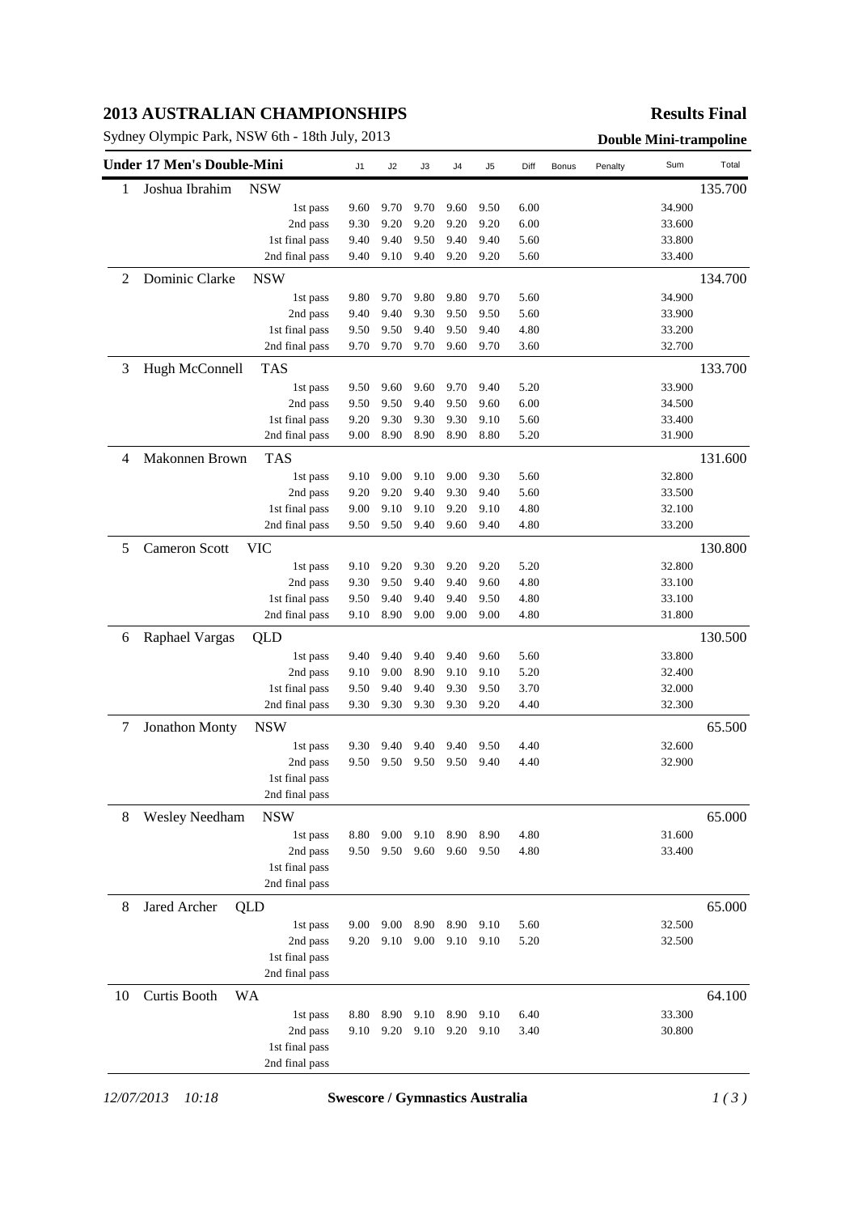# **2013 AUSTRALIAN CHAMPIONSHIPS**

Sydney Olympic Park, NSW 6th - 18th July, 2013<br> **Double Mini-trampoline** 

## **Results Final**

|    | <b>Under 17 Men's Double-Mini</b> |                | J1   | J2   | J3   | J4   | J5   | Diff | Bonus | Penalty | Sum    | Total   |
|----|-----------------------------------|----------------|------|------|------|------|------|------|-------|---------|--------|---------|
| 1  | Joshua Ibrahim                    | <b>NSW</b>     |      |      |      |      |      |      |       |         |        | 135.700 |
|    |                                   | 1st pass       | 9.60 | 9.70 | 9.70 | 9.60 | 9.50 | 6.00 |       |         | 34.900 |         |
|    |                                   | 2nd pass       | 9.30 | 9.20 | 9.20 | 9.20 | 9.20 | 6.00 |       |         | 33.600 |         |
|    |                                   | 1st final pass | 9.40 | 9.40 | 9.50 | 9.40 | 9.40 | 5.60 |       |         | 33.800 |         |
|    |                                   | 2nd final pass | 9.40 | 9.10 | 9.40 | 9.20 | 9.20 | 5.60 |       |         | 33.400 |         |
| 2  | Dominic Clarke                    | <b>NSW</b>     |      |      |      |      |      |      |       |         |        | 134.700 |
|    |                                   | 1st pass       | 9.80 | 9.70 | 9.80 | 9.80 | 9.70 | 5.60 |       |         | 34.900 |         |
|    |                                   | 2nd pass       | 9.40 | 9.40 | 9.30 | 9.50 | 9.50 | 5.60 |       |         | 33.900 |         |
|    |                                   | 1st final pass | 9.50 | 9.50 | 9.40 | 9.50 | 9.40 | 4.80 |       |         | 33.200 |         |
|    |                                   | 2nd final pass | 9.70 | 9.70 | 9.70 | 9.60 | 9.70 | 3.60 |       |         | 32.700 |         |
| 3  | Hugh McConnell                    | <b>TAS</b>     |      |      |      |      |      |      |       |         |        | 133.700 |
|    |                                   | 1st pass       | 9.50 | 9.60 | 9.60 | 9.70 | 9.40 | 5.20 |       |         | 33.900 |         |
|    |                                   | 2nd pass       | 9.50 | 9.50 | 9.40 | 9.50 | 9.60 | 6.00 |       |         | 34.500 |         |
|    |                                   | 1st final pass | 9.20 | 9.30 | 9.30 | 9.30 | 9.10 | 5.60 |       |         | 33.400 |         |
|    |                                   | 2nd final pass | 9.00 | 8.90 | 8.90 | 8.90 | 8.80 | 5.20 |       |         | 31.900 |         |
| 4  | Makonnen Brown                    | <b>TAS</b>     |      |      |      |      |      |      |       |         |        | 131.600 |
|    |                                   | 1st pass       | 9.10 | 9.00 | 9.10 | 9.00 | 9.30 | 5.60 |       |         | 32.800 |         |
|    |                                   | 2nd pass       | 9.20 | 9.20 | 9.40 | 9.30 | 9.40 | 5.60 |       |         | 33.500 |         |
|    |                                   | 1st final pass | 9.00 | 9.10 | 9.10 | 9.20 | 9.10 | 4.80 |       |         | 32.100 |         |
|    |                                   | 2nd final pass | 9.50 | 9.50 | 9.40 | 9.60 | 9.40 | 4.80 |       |         | 33.200 |         |
| 5  | <b>Cameron Scott</b>              | <b>VIC</b>     |      |      |      |      |      |      |       |         |        | 130.800 |
|    |                                   | 1st pass       | 9.10 | 9.20 | 9.30 | 9.20 | 9.20 | 5.20 |       |         | 32.800 |         |
|    |                                   | 2nd pass       | 9.30 | 9.50 | 9.40 | 9.40 | 9.60 | 4.80 |       |         | 33.100 |         |
|    |                                   | 1st final pass | 9.50 | 9.40 | 9.40 | 9.40 | 9.50 | 4.80 |       |         | 33.100 |         |
|    |                                   | 2nd final pass | 9.10 | 8.90 | 9.00 | 9.00 | 9.00 | 4.80 |       |         | 31.800 |         |
| 6  | Raphael Vargas                    | QLD            |      |      |      |      |      |      |       |         |        | 130.500 |
|    |                                   | 1st pass       | 9.40 | 9.40 | 9.40 | 9.40 | 9.60 | 5.60 |       |         | 33.800 |         |
|    |                                   | 2nd pass       | 9.10 | 9.00 | 8.90 | 9.10 | 9.10 | 5.20 |       |         | 32.400 |         |
|    |                                   | 1st final pass | 9.50 | 9.40 | 9.40 | 9.30 | 9.50 | 3.70 |       |         | 32.000 |         |
|    |                                   | 2nd final pass | 9.30 | 9.30 | 9.30 | 9.30 | 9.20 | 4.40 |       |         | 32.300 |         |
| 7  | Jonathon Monty                    | <b>NSW</b>     |      |      |      |      |      |      |       |         |        | 65.500  |
|    |                                   | 1st pass       | 9.30 | 9.40 | 9.40 | 9.40 | 9.50 | 4.40 |       |         | 32.600 |         |
|    |                                   | 2nd pass       | 9.50 | 9.50 | 9.50 | 9.50 | 9.40 | 4.40 |       |         | 32.900 |         |
|    |                                   | 1st final pass |      |      |      |      |      |      |       |         |        |         |
|    |                                   | 2nd final pass |      |      |      |      |      |      |       |         |        |         |
| 8  | <b>Wesley Needham</b>             | <b>NSW</b>     |      |      |      |      |      |      |       |         |        | 65.000  |
|    |                                   | 1st pass       | 8.80 | 9.00 | 9.10 | 8.90 | 8.90 | 4.80 |       |         | 31.600 |         |
|    |                                   | 2nd pass       | 9.50 | 9.50 | 9.60 | 9.60 | 9.50 | 4.80 |       |         | 33.400 |         |
|    |                                   | 1st final pass |      |      |      |      |      |      |       |         |        |         |
|    |                                   | 2nd final pass |      |      |      |      |      |      |       |         |        |         |
| 8  | Jared Archer                      | QLD            |      |      |      |      |      |      |       |         |        | 65.000  |
|    |                                   | 1st pass       | 9.00 | 9.00 | 8.90 | 8.90 | 9.10 | 5.60 |       |         | 32.500 |         |
|    |                                   | 2nd pass       | 9.20 | 9.10 | 9.00 | 9.10 | 9.10 | 5.20 |       |         | 32.500 |         |
|    |                                   | 1st final pass |      |      |      |      |      |      |       |         |        |         |
|    |                                   | 2nd final pass |      |      |      |      |      |      |       |         |        |         |
| 10 | Curtis Booth                      | WA             |      |      |      |      |      |      |       |         |        | 64.100  |
|    |                                   | 1st pass       | 8.80 | 8.90 | 9.10 | 8.90 | 9.10 | 6.40 |       |         | 33.300 |         |
|    |                                   | 2nd pass       | 9.10 | 9.20 | 9.10 | 9.20 | 9.10 | 3.40 |       |         | 30.800 |         |
|    |                                   |                |      |      |      |      |      |      |       |         |        |         |
|    |                                   | 1st final pass |      |      |      |      |      |      |       |         |        |         |

*12/07/2013 10:18* **Swescore / Gymnastics Australia** *1 ( 3 )*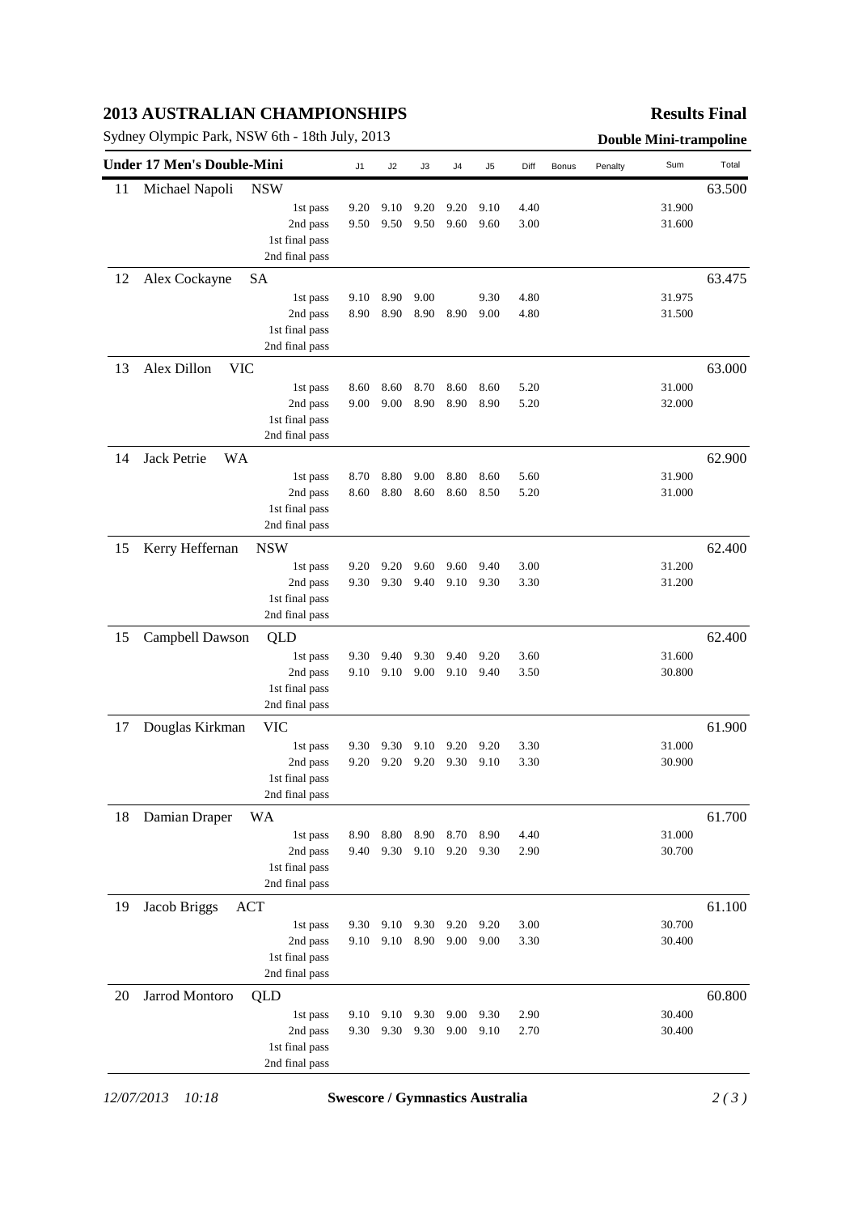# **2013 AUSTRALIAN CHAMPIONSHIPS**

Sydney Olympic Park, NSW 6th - 18th July, 2013 **Double Mini-trampoline** 

## **Results Final**

|    | <b>Under 17 Men's Double-Mini</b> |                | J <sub>1</sub> | J2   | J3   | J4   | J <sub>5</sub> | Diff | Bonus | Penalty | Sum    | Total  |
|----|-----------------------------------|----------------|----------------|------|------|------|----------------|------|-------|---------|--------|--------|
| 11 | <b>NSW</b><br>Michael Napoli      |                |                |      |      |      |                |      |       |         |        | 63.500 |
|    |                                   | 1st pass       | 9.20           | 9.10 | 9.20 | 9.20 | 9.10           | 4.40 |       |         | 31.900 |        |
|    |                                   | 2nd pass       | 9.50           | 9.50 | 9.50 | 9.60 | 9.60           | 3.00 |       |         | 31.600 |        |
|    |                                   | 1st final pass |                |      |      |      |                |      |       |         |        |        |
|    |                                   | 2nd final pass |                |      |      |      |                |      |       |         |        |        |
| 12 | Alex Cockayne<br><b>SA</b>        |                |                |      |      |      |                |      |       |         |        | 63.475 |
|    |                                   | 1st pass       | 9.10           | 8.90 | 9.00 |      | 9.30           | 4.80 |       |         | 31.975 |        |
|    |                                   | 2nd pass       | 8.90           | 8.90 | 8.90 | 8.90 | 9.00           | 4.80 |       |         | 31.500 |        |
|    |                                   | 1st final pass |                |      |      |      |                |      |       |         |        |        |
|    |                                   | 2nd final pass |                |      |      |      |                |      |       |         |        |        |
| 13 | Alex Dillon<br><b>VIC</b>         |                |                |      |      |      |                |      |       |         |        | 63.000 |
|    |                                   | 1st pass       | 8.60           | 8.60 | 8.70 | 8.60 | 8.60           | 5.20 |       |         | 31.000 |        |
|    |                                   | 2nd pass       | 9.00           | 9.00 | 8.90 | 8.90 | 8.90           | 5.20 |       |         | 32.000 |        |
|    |                                   | 1st final pass |                |      |      |      |                |      |       |         |        |        |
|    |                                   | 2nd final pass |                |      |      |      |                |      |       |         |        |        |
| 14 | <b>Jack Petrie</b><br><b>WA</b>   |                |                |      |      |      |                |      |       |         |        | 62.900 |
|    |                                   | 1st pass       | 8.70           | 8.80 | 9.00 | 8.80 | 8.60           | 5.60 |       |         | 31.900 |        |
|    |                                   | 2nd pass       | 8.60           | 8.80 | 8.60 | 8.60 | 8.50           | 5.20 |       |         | 31.000 |        |
|    |                                   | 1st final pass |                |      |      |      |                |      |       |         |        |        |
|    |                                   | 2nd final pass |                |      |      |      |                |      |       |         |        |        |
| 15 | Kerry Heffernan<br><b>NSW</b>     |                |                |      |      |      |                |      |       |         |        | 62.400 |
|    |                                   | 1st pass       | 9.20           | 9.20 | 9.60 | 9.60 | 9.40           | 3.00 |       |         | 31.200 |        |
|    |                                   | 2nd pass       | 9.30           | 9.30 | 9.40 | 9.10 | 9.30           | 3.30 |       |         | 31.200 |        |
|    |                                   | 1st final pass |                |      |      |      |                |      |       |         |        |        |
|    |                                   | 2nd final pass |                |      |      |      |                |      |       |         |        |        |
| 15 | Campbell Dawson<br>QLD            |                |                |      |      |      |                |      |       |         |        | 62.400 |
|    |                                   | 1st pass       | 9.30           | 9.40 | 9.30 | 9.40 | 9.20           | 3.60 |       |         | 31.600 |        |
|    |                                   | 2nd pass       | 9.10           | 9.10 | 9.00 | 9.10 | 9.40           | 3.50 |       |         | 30.800 |        |
|    |                                   | 1st final pass |                |      |      |      |                |      |       |         |        |        |
|    |                                   | 2nd final pass |                |      |      |      |                |      |       |         |        |        |
| 17 | Douglas Kirkman<br>VIC            |                |                |      |      |      |                |      |       |         |        | 61.900 |
|    |                                   | 1st pass       | 9.30           | 9.30 | 9.10 | 9.20 | 9.20           | 3.30 |       |         | 31.000 |        |
|    |                                   | 2nd pass       | 9.20           | 9.20 | 9.20 | 9.30 | 9.10           | 3.30 |       |         | 30.900 |        |
|    |                                   | 1st final pass |                |      |      |      |                |      |       |         |        |        |
|    |                                   | 2nd final pass |                |      |      |      |                |      |       |         |        |        |
| 18 | Damian Draper<br>WA               |                |                |      |      |      |                |      |       |         |        | 61.700 |
|    |                                   | 1st pass       | 8.90           | 8.80 | 8.90 | 8.70 | 8.90           | 4.40 |       |         | 31.000 |        |
|    |                                   | 2nd pass       | 9.40           | 9.30 | 9.10 | 9.20 | 9.30           | 2.90 |       |         | 30.700 |        |
|    |                                   | 1st final pass |                |      |      |      |                |      |       |         |        |        |
|    |                                   | 2nd final pass |                |      |      |      |                |      |       |         |        |        |
| 19 | Jacob Briggs<br>ACT               |                |                |      |      |      |                |      |       |         |        | 61.100 |
|    |                                   | 1st pass       | 9.30           | 9.10 | 9.30 | 9.20 | 9.20           | 3.00 |       |         | 30.700 |        |
|    |                                   | 2nd pass       | 9.10           | 9.10 | 8.90 | 9.00 | 9.00           | 3.30 |       |         | 30.400 |        |
|    |                                   | 1st final pass |                |      |      |      |                |      |       |         |        |        |
|    |                                   | 2nd final pass |                |      |      |      |                |      |       |         |        |        |
| 20 | Jarrod Montoro<br>QLD             |                |                |      |      |      |                |      |       |         |        | 60.800 |
|    |                                   | 1st pass       | 9.10           | 9.10 | 9.30 | 9.00 | 9.30           | 2.90 |       |         | 30.400 |        |
|    |                                   | 2nd pass       | 9.30           | 9.30 | 9.30 | 9.00 | 9.10           | 2.70 |       |         | 30.400 |        |
|    |                                   | 1st final pass |                |      |      |      |                |      |       |         |        |        |
|    |                                   | 2nd final pass |                |      |      |      |                |      |       |         |        |        |
|    |                                   |                |                |      |      |      |                |      |       |         |        |        |

*12/07/2013 10:18* **Swescore / Gymnastics Australia** *2 ( 3 )*